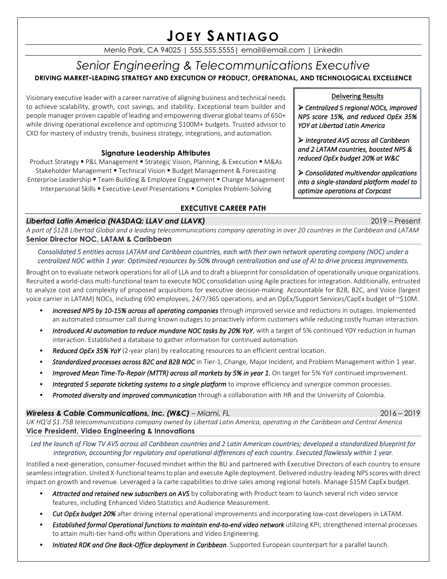# **JOEY SANTIAGO**

Menlo Park, CA 94025 | 555.555.5555| email@email.com | LinkedIn

# *Senior Engineering & Telecommunications Executive* **DRIVING MARKET-LEADING STRATEGY AND EXECUTION OF PRODUCT, OPERATIONAL, AND TECHNOLOGICAL EXCELLENCE**

Visionary executive leader with a career narrative of aligning business and technical needs to achieve scalability, growth, cost savings, and stability. Exceptional team builder and people manager proven capable of leading and empowering diverse global teams of 650+ while driving operational excellence and optimizing \$100M+ budgets. Trusted advisor to CXO for mastery of industry trends, business strategy, integrations, and automation.

# **Signature Leadership Attributes**

Product Strategy ▪ P&L Management ▪ Strategic Vision, Planning, & Execution ▪ M&As Stakeholder Management ▪ Technical Vision ▪ Budget Management & Forecasting Enterprise Leadership ▪ Team Building & Employee Engagement ▪ Change Management Interpersonal Skills ▪ Executive-Level Presentations ▪ Complex Problem-Solving

# **EXECUTIVE CAREER PATH**

# *Libertad Latin America (NASDAQ: LLAV and LLAVK)* 2019 – Present

*A part of \$12B Libertad Global and a leading telecommunications company operating in over 20 countries in the Caribbean and LATAM* **Senior Director NOC, LATAM & Caribbean** 

*Consolidated 5 entities across LATAM and Caribbean countries, each with their own network operating company (NOC) under a centralized NOC within 1 year. Optimized resources by 50% through centralization and use of AI to drive process improvements.* 

Brought on to evaluate network operations for all of LLA and to draft a blueprint for consolidation of operationally unique organizations. Recruited a world-class multi-functional team to execute NOC consolidation using Agile practices for integration. Additionally, entrusted to analyze cost and complexity of proposed acquisitions for executive decision-making. Accountable for B2B, B2C, and Voice (largest voice carrier in LATAM) NOCs, including 690 employees, 24/7/365 operations, and an OpEx/Support Services/CapEx budget of ~\$10M.

- *Increased NPS by 10-15% across all operating companies* through improved service and reductions in outages. Implemented an automated consumer call during known outages to proactively inform customers while reducing costly human interaction.
- *Introduced AI automation to reduce mundane NOC tasks by 20% YoY*, with a target of 5% continued YOY reduction in human interaction. Established a database to gather information for continued automation.
- *Reduced OpEx 35% YoY* (2-year plan) by reallocating resources to an efficient central location.
- *Standardized processes across B2C and B2B NOC* in Tier-1, Change, Major Incident, and Problem Management within 1 year.
- *Improved Mean Time-To-Repair (MTTR) across all markets by 5% in year 1*. On target for 5% YoY continued improvement.
- *Integrated 5 separate ticketing systems to a single platform* to improve efficiency and synergize common processes.
- *Promoted diversity and improved communication* through a collaboration with HR and the University of Colombia.

# *Wireless & Cable Communications, Inc. (W&C) – Miami, FL* 2016 – 2019

*UK HQ'd \$1.75B telecommunications company owned by Libertad Latin America, operating in the Caribbean and Central America* **Vice President, Video Engineering & Innovations**

*Led the launch of Flow TV AVS across all Caribbean countries and 2 Latin American countries; developed a standardized blueprint for integration, accounting for regulatory and operational differences of each country. Executed flawlessly within 1 year.* 

Instilled a next-generation, consumer-focused mindset within the BU and partnered with Executive Directors of each country to ensure seamless integration. United X-functional teamsto plan and execute Agile deployment. Delivered industry-leading NPS scoreswith direct impact on growth and revenue. Leveraged a la carte capabilities to drive sales among regional hotels. Manage \$15M CapEx budget.

- *Attracted and retained new subscribers on AVS* by collaborating with Product team to launch several rich video service features, including Enhanced Video Statistics and Audience Measurement.
- *Cut OpEx budget 20%* after driving internal operational improvements and incorporating low-cost developers in LATAM.
- *Established formal Operational functions to maintain end-to-end video network* utilizing KPI; strengthened internal processes to attain multi-tier hand-offs within Operations and Video Engineering.
- *Initiated RDK and One Back-Office deployment in Caribbean*. Supported European counterpart for a parallel launch.

# Delivering Results

➢ *Centralized 5 regional NOCs, improved NPS score 15%, and reduced OpEx 35% YOY at Libertad Latin America*

➢ *Integrated AVS across all Caribbean and 2 LATAM countries, boosted NPS & reduced OpEx budget 20% at W&C* 

➢ *Consolidated multivendor applications into a single-standard platform model to optimize operations at Corpcast*